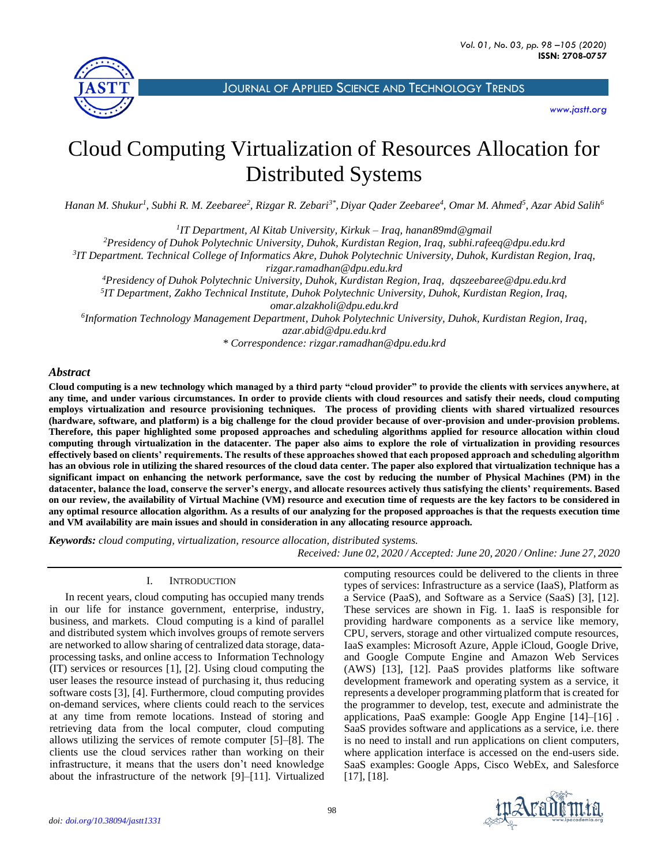

JOURNAL OF APPLIED SCIENCE AND T[ECHNOLOGY](http://jastt.org/index.php/index) TRENDS

*[www.jastt.org](http://www.jastt.org/)*

# Cloud Computing Virtualization of Resources Allocation for Distributed Systems

*Hanan M. Shukur<sup>1</sup> , Subhi R. M. Zeebaree<sup>2</sup> , Rizgar R. Zebari3\* , Diyar Qader Zeebaree<sup>4</sup> , Omar M. Ahmed<sup>5</sup> , Azar Abid Salih<sup>6</sup>*

*1 IT Department, Al Kitab University, Kirkuk – Iraq, hanan89md@gmail*

*<sup>2</sup>Presidency of Duhok Polytechnic University, Duhok, Kurdistan Region, Iraq, [subhi.rafeeq@dpu.edu.krd](mailto:subhi.rafeeq@dpu.edu.krd)*

*3 IT Department. Technical College of Informatics Akre, Duhok Polytechnic University, Duhok, Kurdistan Region, Iraq,* 

*[rizgar.ramadhan@dpu.edu.krd](mailto:rizgar.ramadhan@dpu.edu.krd)*

*<sup>4</sup>Presidency of Duhok Polytechnic University, Duhok, Kurdistan Region, Iraq, [dqszeebaree@dpu.edu.krd](mailto:%20dqszeebaree@dpu.edu.krd)* 

*5 IT Department, Zakho Technical Institute, Duhok Polytechnic University, Duhok, Kurdistan Region, Iraq, [omar.alzakholi@dpu.edu.krd](mailto:omar.alzakholi@dpu.edu.krd)*

*6 Information Technology Management Department, Duhok Polytechnic University, Duhok, Kurdistan Region, Iraq, [azar.abid@dpu.edu.krd](mailto:azar.abid@dpu.edu.krd)*

*\* Correspondence: rizgar.ramadhan@dpu.edu.krd*

## *Abstract*

**Cloud computing is a new technology which managed by a third party "cloud provider" to provide the clients with services anywhere, at any time, and under various circumstances. In order to provide clients with cloud resources and satisfy their needs, cloud computing employs virtualization and resource provisioning techniques. The process of providing clients with shared virtualized resources (hardware, software, and platform) is a big challenge for the cloud provider because of over-provision and under-provision problems. Therefore, this paper highlighted some proposed approaches and scheduling algorithms applied for resource allocation within cloud computing through virtualization in the datacenter. The paper also aims to explore the role of virtualization in providing resources effectively based on clients' requirements. The results of these approaches showed that each proposed approach and scheduling algorithm has an obvious role in utilizing the shared resources of the cloud data center. The paper also explored that virtualization technique has a significant impact on enhancing the network performance, save the cost by reducing the number of Physical Machines (PM) in the datacenter, balance the load, conserve the server's energy, and allocate resources actively thus satisfying the clients' requirements. Based on our review, the availability of Virtual Machine (VM) resource and execution time of requests are the key factors to be considered in any optimal resource allocation algorithm. As a results of our analyzing for the proposed approaches is that the requests execution time and VM availability are main issues and should in consideration in any allocating resource approach.**

*Keywords: cloud computing, virtualization, resource allocation, distributed systems.*

 *Received: June 02, 2020 / Accepted: June 20, 2020 / Online: June 27, 2020*

### I. INTRODUCTION

In recent years, cloud computing has occupied many trends in our life for instance government, enterprise, industry, business, and markets. Cloud computing is a kind of parallel and distributed system which involves groups of remote servers are networked to allow sharing of centralized data storage, dataprocessing tasks, and online access to Information Technology (IT) services or resources [1], [2]. Using cloud computing the user leases the resource instead of purchasing it, thus reducing software costs [3], [4]. Furthermore, cloud computing provides on-demand services, where clients could reach to the services at any time from remote locations. Instead of storing and retrieving data from the local computer, cloud computing allows utilizing the services of remote computer [5]–[8]. The clients use the cloud services rather than working on their infrastructure, it means that the users don't need knowledge about the infrastructure of the network [9]–[11]. Virtualized

computing resources could be delivered to the clients in three types of services: Infrastructure as a service (IaaS), Platform as a Service (PaaS), and Software as a Service (SaaS) [3], [12]. These services are shown in Fig. 1. IaaS is responsible for providing hardware components as a service like memory, CPU, servers, storage and other virtualized compute resources, IaaS examples: Microsoft Azure, Apple iCloud, Google Drive, and Google Compute Engine and Amazon Web Services (AWS) [13], [12]. PaaS provides platforms like software development framework and operating system as a service, it represents a developer programming platform that is created for the programmer to develop, test, execute and administrate the applications, PaaS example: Google App Engine [14]–[16] . SaaS provides software and applications as a service, i.e. there is no need to install and run applications on client computers, where application interface is accessed on the end-users side. SaaS examples: Google Apps, Cisco WebEx, and Salesforce [17], [18].

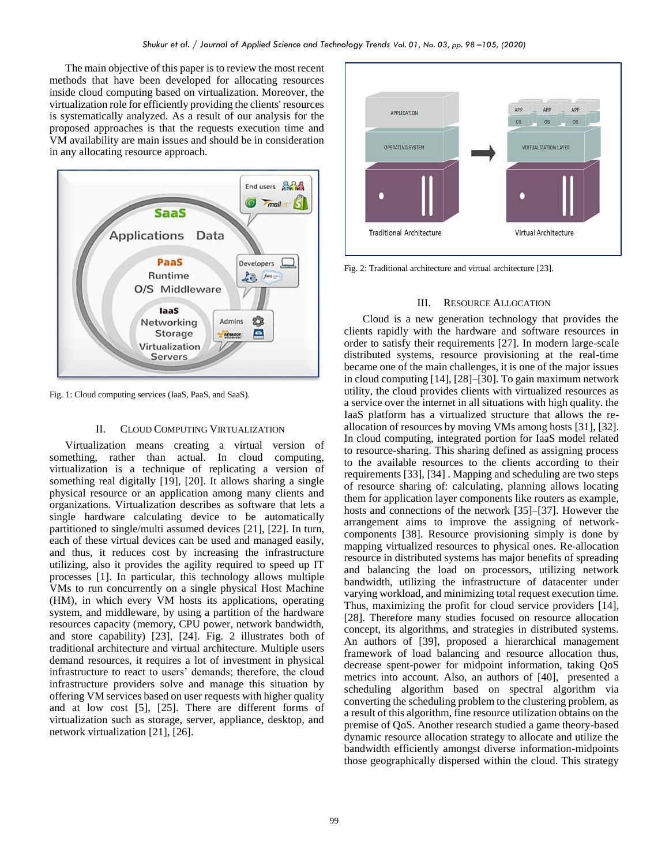The main objective of this paper is to review the most recent methods that have been developed for allocating resources inside cloud computing based on virtualization. Moreover, the virtualization role for efficiently providing the clients' resources is systematically analyzed. As a result of our analysis for the proposed approaches is that the requests execution time and VM availability are main issues and should be in consideration in any allocating resource approach.



Fig. 1: Cloud computing services (IaaS, PaaS, and SaaS).

#### II. CLOUD COMPUTING VIRTUALIZATION

Virtualization means creating a virtual version of something, rather than actual. In cloud computing, virtualization is a technique of replicating a version of something real digitally [19], [20]. It allows sharing a single physical resource or an application among many clients and organizations. Virtualization describes as software that lets a single hardware calculating device to be automatically partitioned to single/multi assumed devices [21], [22]. In turn, each of these virtual devices can be used and managed easily, and thus, it reduces cost by increasing the infrastructure utilizing, also it provides the agility required to speed up IT processes [1]. In particular, this technology allows multiple VMs to run concurrently on a single physical Host Machine (HM), in which every VM hosts its applications, operating system, and middleware, by using a partition of the hardware resources capacity (memory, CPU power, network bandwidth, and store capability) [23], [24]. Fig. 2 illustrates both of traditional architecture and virtual architecture. Multiple users demand resources, it requires a lot of investment in physical infrastructure to react to users' demands; therefore, the cloud infrastructure providers solve and manage this situation by offering VM services based on user requests with higher quality and at low cost [5], [25]. There are different forms of virtualization such as storage, server, appliance, desktop, and network virtualization [21], [26].



Fig. 2: Traditional architecture and virtual architecture [23].

#### III. RESOURCE ALLOCATION

Cloud is a new generation technology that provides the clients rapidly with the hardware and software resources in order to satisfy their requirements [27]. In modern large-scale distributed systems, resource provisioning at the real-time became one of the main challenges, it is one of the major issues in cloud computing [14], [28]–[30]. To gain maximum network utility, the cloud provides clients with virtualized resources as a service over the internet in all situations with high quality. the IaaS platform has a virtualized structure that allows the reallocation of resources by moving VMs among hosts [31], [32]. In cloud computing, integrated portion for IaaS model related to resource-sharing. This sharing defined as assigning process to the available resources to the clients according to their requirements [33], [34] . Mapping and scheduling are two steps of resource sharing of: calculating, planning allows locating them for application layer components like routers as example, hosts and connections of the network [35]–[37]. However the arrangement aims to improve the assigning of networkcomponents [38]. Resource provisioning simply is done by mapping virtualized resources to physical ones. Re-allocation resource in distributed systems has major benefits of spreading and balancing the load on processors, utilizing network bandwidth, utilizing the infrastructure of datacenter under varying workload, and minimizing total request execution time. Thus, maximizing the profit for cloud service providers [14], [28]. Therefore many studies focused on resource allocation concept, its algorithms, and strategies in distributed systems. An authors of [39], proposed a hierarchical management framework of load balancing and resource allocation thus, decrease spent-power for midpoint information, taking QoS metrics into account. Also, an authors of [40], presented a scheduling algorithm based on spectral algorithm via converting the scheduling problem to the clustering problem, as a result of this algorithm, fine resource utilization obtains on the premise of QoS. Another research studied a game theory-based dynamic resource allocation strategy to allocate and utilize the bandwidth efficiently amongst diverse information-midpoints those geographically dispersed within the cloud. This strategy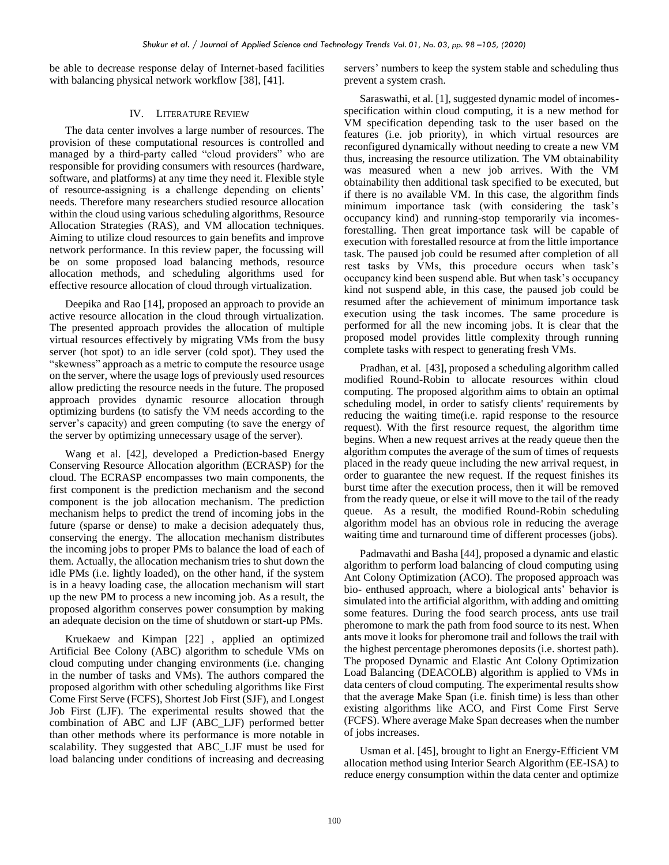be able to decrease response delay of Internet-based facilities with balancing physical network workflow [38], [41].

#### IV. LITERATURE REVIEW

The data center involves a large number of resources. The provision of these computational resources is controlled and managed by a third-party called "cloud providers" who are responsible for providing consumers with resources (hardware, software, and platforms) at any time they need it. Flexible style of resource-assigning is a challenge depending on clients' needs. Therefore many researchers studied resource allocation within the cloud using various scheduling algorithms, Resource Allocation Strategies (RAS), and VM allocation techniques. Aiming to utilize cloud resources to gain benefits and improve network performance. In this review paper, the focussing will be on some proposed load balancing methods, resource allocation methods, and scheduling algorithms used for effective resource allocation of cloud through virtualization.

Deepika and Rao [14], proposed an approach to provide an active resource allocation in the cloud through virtualization. The presented approach provides the allocation of multiple virtual resources effectively by migrating VMs from the busy server (hot spot) to an idle server (cold spot). They used the "skewness" approach as a metric to compute the resource usage on the server, where the usage logs of previously used resources allow predicting the resource needs in the future. The proposed approach provides dynamic resource allocation through optimizing burdens (to satisfy the VM needs according to the server's capacity) and green computing (to save the energy of the server by optimizing unnecessary usage of the server).

Wang et al. [42], developed a Prediction-based Energy Conserving Resource Allocation algorithm (ECRASP) for the cloud. The ECRASP encompasses two main components, the first component is the prediction mechanism and the second component is the job allocation mechanism. The prediction mechanism helps to predict the trend of incoming jobs in the future (sparse or dense) to make a decision adequately thus, conserving the energy. The allocation mechanism distributes the incoming jobs to proper PMs to balance the load of each of them. Actually, the allocation mechanism tries to shut down the idle PMs (i.e. lightly loaded), on the other hand, if the system is in a heavy loading case, the allocation mechanism will start up the new PM to process a new incoming job. As a result, the proposed algorithm conserves power consumption by making an adequate decision on the time of shutdown or start-up PMs.

Kruekaew and Kimpan [22] , applied an optimized Artificial Bee Colony (ABC) algorithm to schedule VMs on cloud computing under changing environments (i.e. changing in the number of tasks and VMs). The authors compared the proposed algorithm with other scheduling algorithms like First Come First Serve (FCFS), Shortest Job First (SJF), and Longest Job First (LJF). The experimental results showed that the combination of ABC and LJF (ABC\_LJF) performed better than other methods where its performance is more notable in scalability. They suggested that ABC\_LJF must be used for load balancing under conditions of increasing and decreasing servers' numbers to keep the system stable and scheduling thus prevent a system crash.

Saraswathi, et al. [1], suggested dynamic model of incomesspecification within cloud computing, it is a new method for VM specification depending task to the user based on the features (i.e. job priority), in which virtual resources are reconfigured dynamically without needing to create a new VM thus, increasing the resource utilization. The VM obtainability was measured when a new job arrives. With the VM obtainability then additional task specified to be executed, but if there is no available VM. In this case, the algorithm finds minimum importance task (with considering the task's occupancy kind) and running-stop temporarily via incomesforestalling. Then great importance task will be capable of execution with forestalled resource at from the little importance task. The paused job could be resumed after completion of all rest tasks by VMs, this procedure occurs when task's occupancy kind been suspend able. But when task's occupancy kind not suspend able, in this case, the paused job could be resumed after the achievement of minimum importance task execution using the task incomes. The same procedure is performed for all the new incoming jobs. It is clear that the proposed model provides little complexity through running complete tasks with respect to generating fresh VMs.

Pradhan, et al. [43], proposed a scheduling algorithm called modified Round-Robin to allocate resources within cloud computing. The proposed algorithm aims to obtain an optimal scheduling model, in order to satisfy clients' requirements by reducing the waiting time(i.e. rapid response to the resource request). With the first resource request, the algorithm time begins. When a new request arrives at the ready queue then the algorithm computes the average of the sum of times of requests placed in the ready queue including the new arrival request, in order to guarantee the new request. If the request finishes its burst time after the execution process, then it will be removed from the ready queue, or else it will move to the tail of the ready queue. As a result, the modified Round-Robin scheduling algorithm model has an obvious role in reducing the average waiting time and turnaround time of different processes (jobs).

Padmavathi and Basha [44], proposed a dynamic and elastic algorithm to perform load balancing of cloud computing using Ant Colony Optimization (ACO). The proposed approach was bio- enthused approach, where a biological ants' behavior is simulated into the artificial algorithm, with adding and omitting some features. During the food search process, ants use trail pheromone to mark the path from food source to its nest. When ants move it looks for pheromone trail and follows the trail with the highest percentage pheromones deposits (i.e. shortest path). The proposed Dynamic and Elastic Ant Colony Optimization Load Balancing (DEACOLB) algorithm is applied to VMs in data centers of cloud computing. The experimental results show that the average Make Span (i.e. finish time) is less than other existing algorithms like ACO, and First Come First Serve (FCFS). Where average Make Span decreases when the number of jobs increases.

Usman et al. [45], brought to light an Energy-Efficient VM allocation method using Interior Search Algorithm (EE-ISA) to reduce energy consumption within the data center and optimize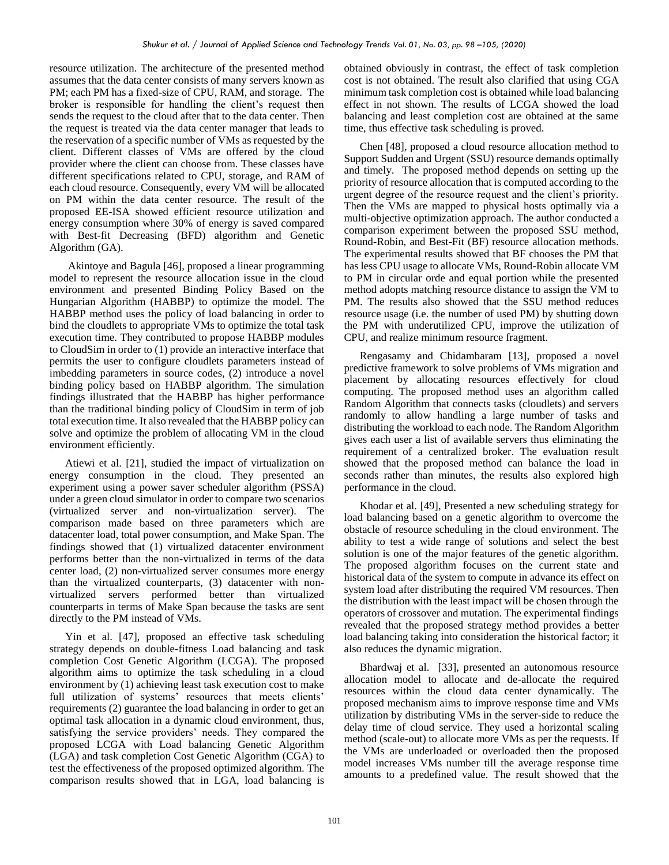resource utilization. The architecture of the presented method assumes that the data center consists of many servers known as PM; each PM has a fixed-size of CPU, RAM, and storage. The broker is responsible for handling the client's request then sends the request to the cloud after that to the data center. Then the request is treated via the data center manager that leads to the reservation of a specific number of VMs as requested by the client. Different classes of VMs are offered by the cloud provider where the client can choose from. These classes have different specifications related to CPU, storage, and RAM of each cloud resource. Consequently, every VM will be allocated on PM within the data center resource. The result of the proposed EE-ISA showed efficient resource utilization and energy consumption where 30% of energy is saved compared with Best-fit Decreasing (BFD) algorithm and Genetic Algorithm (GA).

Akintoye and Bagula [46], proposed a linear programming model to represent the resource allocation issue in the cloud environment and presented Binding Policy Based on the Hungarian Algorithm (HABBP) to optimize the model. The HABBP method uses the policy of load balancing in order to bind the cloudlets to appropriate VMs to optimize the total task execution time. They contributed to propose HABBP modules to CloudSim in order to (1) provide an interactive interface that permits the user to configure cloudlets parameters instead of imbedding parameters in source codes, (2) introduce a novel binding policy based on HABBP algorithm. The simulation findings illustrated that the HABBP has higher performance than the traditional binding policy of CloudSim in term of job total execution time. It also revealed that the HABBP policy can solve and optimize the problem of allocating VM in the cloud environment efficiently.

Atiewi et al. [21], studied the impact of virtualization on energy consumption in the cloud. They presented an experiment using a power saver scheduler algorithm (PSSA) under a green cloud simulator in order to compare two scenarios (virtualized server and non-virtualization server). The comparison made based on three parameters which are datacenter load, total power consumption, and Make Span. The findings showed that (1) virtualized datacenter environment performs better than the non-virtualized in terms of the data center load, (2) non-virtualized server consumes more energy than the virtualized counterparts, (3) datacenter with nonvirtualized servers performed better than virtualized counterparts in terms of Make Span because the tasks are sent directly to the PM instead of VMs.

Yin et al. [47], proposed an effective task scheduling strategy depends on double-fitness Load balancing and task completion Cost Genetic Algorithm (LCGA). The proposed algorithm aims to optimize the task scheduling in a cloud environment by (1) achieving least task execution cost to make full utilization of systems' resources that meets clients' requirements (2) guarantee the load balancing in order to get an optimal task allocation in a dynamic cloud environment, thus, satisfying the service providers' needs. They compared the proposed LCGA with Load balancing Genetic Algorithm (LGA) and task completion Cost Genetic Algorithm (CGA) to test the effectiveness of the proposed optimized algorithm. The comparison results showed that in LGA, load balancing is

obtained obviously in contrast, the effect of task completion cost is not obtained. The result also clarified that using CGA minimum task completion cost is obtained while load balancing effect in not shown. The results of LCGA showed the load balancing and least completion cost are obtained at the same time, thus effective task scheduling is proved.

Chen [48], proposed a cloud resource allocation method to Support Sudden and Urgent (SSU) resource demands optimally and timely. The proposed method depends on setting up the priority of resource allocation that is computed according to the urgent degree of the resource request and the client's priority. Then the VMs are mapped to physical hosts optimally via a multi-objective optimization approach. The author conducted a comparison experiment between the proposed SSU method, Round-Robin, and Best-Fit (BF) resource allocation methods. The experimental results showed that BF chooses the PM that has less CPU usage to allocate VMs, Round-Robin allocate VM to PM in circular orde and equal portion while the presented method adopts matching resource distance to assign the VM to PM. The results also showed that the SSU method reduces resource usage (i.e. the number of used PM) by shutting down the PM with underutilized CPU, improve the utilization of CPU, and realize minimum resource fragment.

Rengasamy and Chidambaram [13], proposed a novel predictive framework to solve problems of VMs migration and placement by allocating resources effectively for cloud computing. The proposed method uses an algorithm called Random Algorithm that connects tasks (cloudlets) and servers randomly to allow handling a large number of tasks and distributing the workload to each node. The Random Algorithm gives each user a list of available servers thus eliminating the requirement of a centralized broker. The evaluation result showed that the proposed method can balance the load in seconds rather than minutes, the results also explored high performance in the cloud.

Khodar et al. [49], Presented a new scheduling strategy for load balancing based on a genetic algorithm to overcome the obstacle of resource scheduling in the cloud environment. The ability to test a wide range of solutions and select the best solution is one of the major features of the genetic algorithm. The proposed algorithm focuses on the current state and historical data of the system to compute in advance its effect on system load after distributing the required VM resources. Then the distribution with the least impact will be chosen through the operators of crossover and mutation. The experimental findings revealed that the proposed strategy method provides a better load balancing taking into consideration the historical factor; it also reduces the dynamic migration.

Bhardwaj et al. [33], presented an autonomous resource allocation model to allocate and de-allocate the required resources within the cloud data center dynamically. The proposed mechanism aims to improve response time and VMs utilization by distributing VMs in the server-side to reduce the delay time of cloud service. They used a horizontal scaling method (scale-out) to allocate more VMs as per the requests. If the VMs are underloaded or overloaded then the proposed model increases VMs number till the average response time amounts to a predefined value. The result showed that the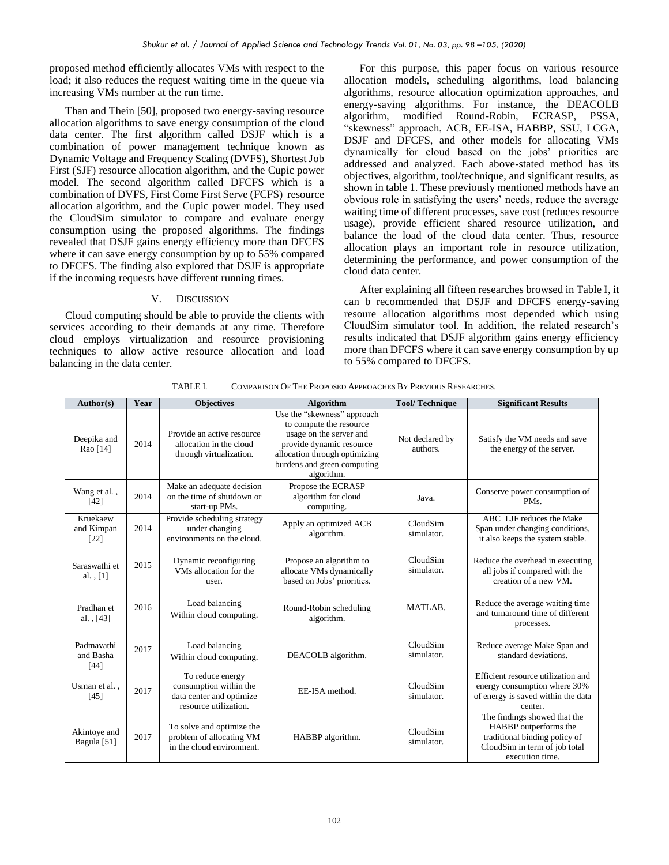proposed method efficiently allocates VMs with respect to the load; it also reduces the request waiting time in the queue via increasing VMs number at the run time.

Than and Thein [50], proposed two energy-saving resource allocation algorithms to save energy consumption of the cloud data center. The first algorithm called DSJF which is a combination of power management technique known as Dynamic Voltage and Frequency Scaling (DVFS), Shortest Job First (SJF) resource allocation algorithm, and the Cupic power model. The second algorithm called DFCFS which is a combination of DVFS, First Come First Serve (FCFS) resource allocation algorithm, and the Cupic power model. They used the CloudSim simulator to compare and evaluate energy consumption using the proposed algorithms. The findings revealed that DSJF gains energy efficiency more than DFCFS where it can save energy consumption by up to 55% compared to DFCFS. The finding also explored that DSJF is appropriate if the incoming requests have different running times.

#### V. DISCUSSION

Cloud computing should be able to provide the clients with services according to their demands at any time. Therefore cloud employs virtualization and resource provisioning techniques to allow active resource allocation and load balancing in the data center.

For this purpose, this paper focus on various resource allocation models, scheduling algorithms, load balancing algorithms, resource allocation optimization approaches, and energy-saving algorithms. For instance, the DEACOLB algorithm, modified Round-Robin, ECRASP, PSSA, "skewness" approach, ACB, EE-ISA, HABBP, SSU, LCGA, DSJF and DFCFS, and other models for allocating VMs dynamically for cloud based on the jobs' priorities are addressed and analyzed. Each above-stated method has its objectives, algorithm, tool/technique, and significant results, as shown in table 1. These previously mentioned methods have an obvious role in satisfying the users' needs, reduce the average waiting time of different processes, save cost (reduces resource usage), provide efficient shared resource utilization, and balance the load of the cloud data center. Thus, resource allocation plays an important role in resource utilization, determining the performance, and power consumption of the cloud data center.

After explaining all fifteen researches browsed in Table I, it can b recommended that DSJF and DFCFS energy-saving resoure allocation algorithms most depended which using CloudSim simulator tool. In addition, the related research's results indicated that DSJF algorithm gains energy efficiency more than DFCFS where it can save energy consumption by up to 55% compared to DFCFS.

| Author(s)                              | Year | <b>Objectives</b>                                                                               | <b>Algorithm</b>                                                                                                                                                                            | <b>Tool/Technique</b>       | <b>Significant Results</b>                                                                                                                 |
|----------------------------------------|------|-------------------------------------------------------------------------------------------------|---------------------------------------------------------------------------------------------------------------------------------------------------------------------------------------------|-----------------------------|--------------------------------------------------------------------------------------------------------------------------------------------|
| Deepika and<br>Rao [14]                | 2014 | Provide an active resource<br>allocation in the cloud<br>through virtualization.                | Use the "skewness" approach<br>to compute the resource<br>usage on the server and<br>provide dynamic resource<br>allocation through optimizing<br>burdens and green computing<br>algorithm. | Not declared by<br>authors. | Satisfy the VM needs and save<br>the energy of the server.                                                                                 |
| Wang et al.,<br>$[42]$                 | 2014 | Make an adequate decision<br>on the time of shutdown or<br>start-up PMs.                        | Propose the ECRASP<br>algorithm for cloud<br>computing.                                                                                                                                     | Java.                       | Conserve power consumption of<br>PM <sub>s</sub> .                                                                                         |
| Kruekaew<br>and Kimpan<br>[22]         | 2014 | Provide scheduling strategy<br>under changing<br>environments on the cloud.                     | Apply an optimized ACB<br>algorithm.                                                                                                                                                        | CloudSim<br>simulator.      | ABC LJF reduces the Make<br>Span under changing conditions,<br>it also keeps the system stable.                                            |
| Saraswathi et<br>al., $[1]$            | 2015 | Dynamic reconfiguring<br>VMs allocation for the<br>user.                                        | Propose an algorithm to<br>allocate VMs dynamically<br>based on Jobs' priorities.                                                                                                           | CloudSim<br>simulator.      | Reduce the overhead in executing<br>all jobs if compared with the<br>creation of a new VM.                                                 |
| Pradhan et<br>al., $[43]$              | 2016 | Load balancing<br>Within cloud computing.                                                       | Round-Robin scheduling<br>algorithm.                                                                                                                                                        | MATLAB.                     | Reduce the average waiting time<br>and turnaround time of different<br>processes.                                                          |
| Padmavathi<br>and Basha<br>$[44]$      | 2017 | Load balancing<br>Within cloud computing.                                                       | DEACOLB algorithm.                                                                                                                                                                          | CloudSim<br>simulator.      | Reduce average Make Span and<br>standard deviations.                                                                                       |
| Usman et al.,<br>[45]                  | 2017 | To reduce energy<br>consumption within the<br>data center and optimize<br>resource utilization. | EE-ISA method.                                                                                                                                                                              | CloudSim<br>simulator.      | Efficient resource utilization and<br>energy consumption where 30%<br>of energy is saved within the data<br>center.                        |
| Akintoye and<br>Bagula <sup>[51]</sup> | 2017 | To solve and optimize the<br>problem of allocating VM<br>in the cloud environment.              | HABBP algorithm.                                                                                                                                                                            | CloudSim<br>simulator.      | The findings showed that the<br>HABBP outperforms the<br>traditional binding policy of<br>CloudSim in term of job total<br>execution time. |

TABLE I. COMPARISON OF THE PROPOSED APPROACHES BY PREVIOUS RESEARCHES.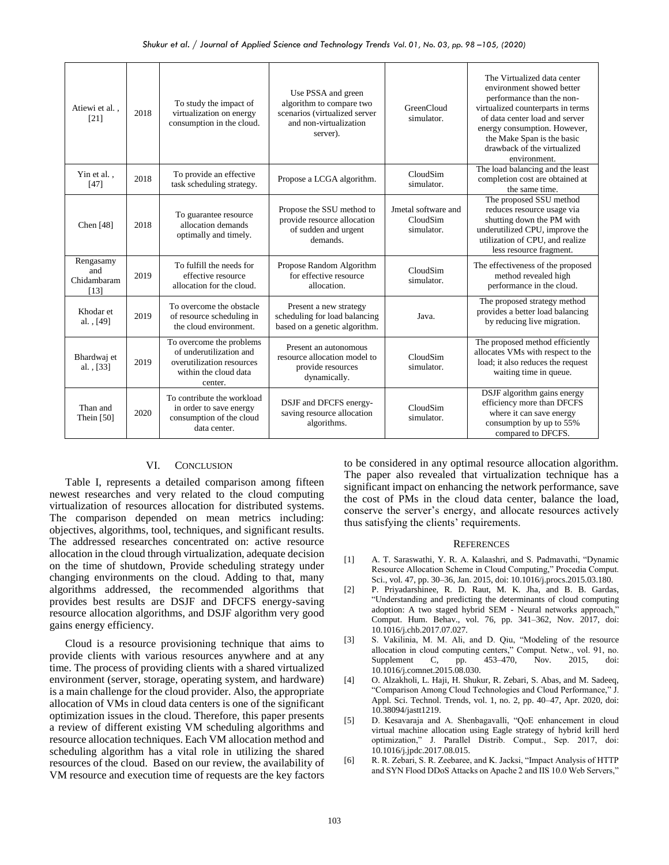| Atiewi et al<br>[21]                    | 2018 | To study the impact of<br>virtualization on energy<br>consumption in the cloud.                                      | Use PSSA and green<br>algorithm to compare two<br>scenarios (virtualized server<br>and non-virtualization<br>server). | <b>GreenCloud</b><br>simulator.               | The Virtualized data center<br>environment showed better<br>performance than the non-<br>virtualized counterparts in terms<br>of data center load and server<br>energy consumption. However,<br>the Make Span is the basic<br>drawback of the virtualized<br>environment. |
|-----------------------------------------|------|----------------------------------------------------------------------------------------------------------------------|-----------------------------------------------------------------------------------------------------------------------|-----------------------------------------------|---------------------------------------------------------------------------------------------------------------------------------------------------------------------------------------------------------------------------------------------------------------------------|
| Yin et al.,<br>[47]                     | 2018 | To provide an effective<br>task scheduling strategy.                                                                 | Propose a LCGA algorithm.                                                                                             | CloudSim<br>simulator.                        | The load balancing and the least<br>completion cost are obtained at<br>the same time.                                                                                                                                                                                     |
| Chen $[48]$                             | 2018 | To guarantee resource<br>allocation demands<br>optimally and timely.                                                 | Propose the SSU method to<br>provide resource allocation<br>of sudden and urgent<br>demands.                          | Jmetal software and<br>CloudSim<br>simulator. | The proposed SSU method<br>reduces resource usage via<br>shutting down the PM with<br>underutilized CPU, improve the<br>utilization of CPU, and realize<br>less resource fragment.                                                                                        |
| Rengasamy<br>and<br>Chidambaram<br>[13] | 2019 | To fulfill the needs for<br>effective resource<br>allocation for the cloud.                                          | Propose Random Algorithm<br>for effective resource<br>allocation.                                                     | CloudSim<br>simulator.                        | The effectiveness of the proposed<br>method revealed high<br>performance in the cloud.                                                                                                                                                                                    |
| Khodar et<br>al., [49]                  | 2019 | To overcome the obstacle<br>of resource scheduling in<br>the cloud environment.                                      | Present a new strategy<br>scheduling for load balancing<br>based on a genetic algorithm.                              | Java.                                         | The proposed strategy method<br>provides a better load balancing<br>by reducing live migration.                                                                                                                                                                           |
| Bhardwaj et<br>al., [33]                | 2019 | To overcome the problems<br>of underutilization and<br>overutilization resources<br>within the cloud data<br>center. | Present an autonomous<br>resource allocation model to<br>provide resources<br>dynamically.                            | CloudSim<br>simulator.                        | The proposed method efficiently<br>allocates VMs with respect to the<br>load; it also reduces the request<br>waiting time in queue.                                                                                                                                       |
| Than and<br>Thein $[50]$                | 2020 | To contribute the workload<br>in order to save energy<br>consumption of the cloud<br>data center.                    | DSJF and DFCFS energy-<br>saving resource allocation<br>algorithms.                                                   | CloudSim<br>simulator.                        | DSJF algorithm gains energy<br>efficiency more than DFCFS<br>where it can save energy<br>consumption by up to 55%<br>compared to DFCFS.                                                                                                                                   |

## VI. CONCLUSION

Table I, represents a detailed comparison among fifteen newest researches and very related to the cloud computing virtualization of resources allocation for distributed systems. The comparison depended on mean metrics including: objectives, algorithms, tool, techniques, and significant results. The addressed researches concentrated on: active resource allocation in the cloud through virtualization, adequate decision on the time of shutdown, Provide scheduling strategy under changing environments on the cloud. Adding to that, many algorithms addressed, the recommended algorithms that provides best results are DSJF and DFCFS energy-saving resource allocation algorithms, and DSJF algorithm very good gains energy efficiency.

Cloud is a resource provisioning technique that aims to provide clients with various resources anywhere and at any time. The process of providing clients with a shared virtualized environment (server, storage, operating system, and hardware) is a main challenge for the cloud provider. Also, the appropriate allocation of VMs in cloud data centers is one of the significant optimization issues in the cloud. Therefore, this paper presents a review of different existing VM scheduling algorithms and resource allocation techniques. Each VM allocation method and scheduling algorithm has a vital role in utilizing the shared resources of the cloud. Based on our review, the availability of VM resource and execution time of requests are the key factors to be considered in any optimal resource allocation algorithm. The paper also revealed that virtualization technique has a significant impact on enhancing the network performance, save the cost of PMs in the cloud data center, balance the load, conserve the server's energy, and allocate resources actively thus satisfying the clients' requirements.

#### **REFERENCES**

- [1] A. T. Saraswathi, Y. R. A. Kalaashri, and S. Padmavathi, "Dynamic Resource Allocation Scheme in Cloud Computing," Procedia Comput. Sci., vol. 47, pp. 30–36, Jan. 2015, doi: 10.1016/j.procs.2015.03.180.
- [2] P. Priyadarshinee, R. D. Raut, M. K. Jha, and B. B. Gardas, "Understanding and predicting the determinants of cloud computing adoption: A two staged hybrid SEM - Neural networks approach,' Comput. Hum. Behav., vol. 76, pp. 341–362, Nov. 2017, doi: 10.1016/j.chb.2017.07.027.
- [3] S. Vakilinia, M. M. Ali, and D. Qiu, "Modeling of the resource allocation in cloud computing centers," Comput. Netw., vol. 91, no. Supplement C, pp. 453–470, Nov. 2015, doi: 10.1016/j.comnet.2015.08.030.
- [4] O. Alzakholi, L. Haji, H. Shukur, R. Zebari, S. Abas, and M. Sadeeq, "Comparison Among Cloud Technologies and Cloud Performance," J. Appl. Sci. Technol. Trends, vol. 1, no. 2, pp. 40–47, Apr. 2020, doi: 10.38094/jastt1219.
- [5] D. Kesavaraja and A. Shenbagavalli, "QoE enhancement in cloud virtual machine allocation using Eagle strategy of hybrid krill herd optimization," J. Parallel Distrib. Comput., Sep. 2017, doi: 10.1016/j.jpdc.2017.08.015.
- [6] R. R. Zebari, S. R. Zeebaree, and K. Jacksi, "Impact Analysis of HTTP and SYN Flood DDoS Attacks on Apache 2 and IIS 10.0 Web Servers,"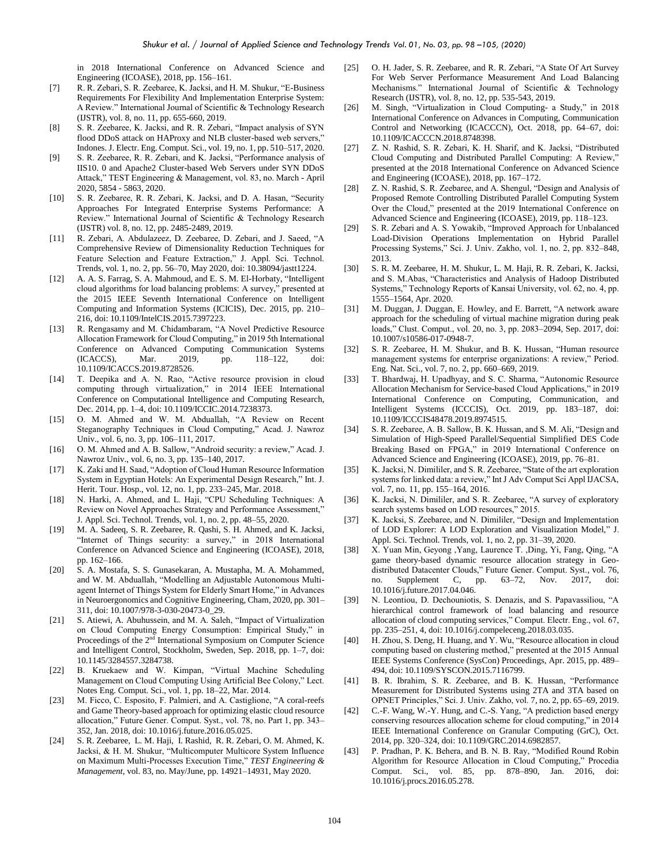in 2018 International Conference on Advanced Science and Engineering (ICOASE), 2018, pp. 156–161.

- [7] R. R. Zebari, S. R. Zeebaree, K. Jacksi, and H. M. Shukur, "E-Business Requirements For Flexibility And Implementation Enterprise System: A Review." International Journal of Scientific & Technology Research (IJSTR), vol. 8, no. 11, pp. 655-660, 2019.
- [8] S. R. Zeebaree, K. Jacksi, and R. R. Zebari, "Impact analysis of SYN flood DDoS attack on HAProxy and NLB cluster-based web servers," Indones. J. Electr. Eng. Comput. Sci., vol. 19, no. 1, pp. 510–517, 2020.
- [9] S. R. Zeebaree, R. R. Zebari, and K. Jacksi, "Performance analysis of IIS10. 0 and Apache2 Cluster-based Web Servers under SYN DDoS Attack," TEST Engineering & Management, vol. 83, no. March - April 2020, 5854 - 5863, 2020.
- [10] S. R. Zeebaree, R. R. Zebari, K. Jacksi, and D. A. Hasan, "Security Approaches For Integrated Enterprise Systems Performance: A Review." International Journal of Scientific & Technology Research (IJSTR) vol. 8, no. 12, pp. 2485-2489, 2019.
- [11] R. Zebari, A. Abdulazeez, D. Zeebaree, D. Zebari, and J. Saeed, "A Comprehensive Review of Dimensionality Reduction Techniques for Feature Selection and Feature Extraction," J. Appl. Sci. Technol. Trends, vol. 1, no. 2, pp. 56–70, May 2020, doi: 10.38094/jastt1224.
- [12] A. A. S. Farrag, S. A. Mahmoud, and E. S. M. El-Horbaty, "Intelligent cloud algorithms for load balancing problems: A survey," presented at the 2015 IEEE Seventh International Conference on Intelligent Computing and Information Systems (ICICIS), Dec. 2015, pp. 210– 216, doi: 10.1109/IntelCIS.2015.7397223.
- [13] R. Rengasamy and M. Chidambaram, "A Novel Predictive Resource Allocation Framework for Cloud Computing," in 2019 5th International Conference on Advanced Computing Communication Systems (ICACCS), Mar. 2019, pp. 118–122, doi: 10.1109/ICACCS.2019.8728526.
- [14] T. Deepika and A. N. Rao, "Active resource provision in cloud computing through virtualization," in 2014 IEEE International Conference on Computational Intelligence and Computing Research, Dec. 2014, pp. 1–4, doi: 10.1109/ICCIC.2014.7238373.
- [15] O. M. Ahmed and W. M. Abduallah, "A Review on Recent Steganography Techniques in Cloud Computing," Acad. J. Nawroz Univ., vol. 6, no. 3, pp. 106–111, 2017.
- [16] O. M. Ahmed and A. B. Sallow, "Android security: a review," Acad. J. Nawroz Univ., vol. 6, no. 3, pp. 135–140, 2017.
- [17] K. Zaki and H. Saad, "Adoption of Cloud Human Resource Information System in Egyptian Hotels: An Experimental Design Research," Int. J. Herit. Tour. Hosp., vol. 12, no. 1, pp. 233–245, Mar. 2018.
- [18] N. Harki, A. Ahmed, and L. Haji, "CPU Scheduling Techniques: A Review on Novel Approaches Strategy and Performance Assessment," J. Appl. Sci. Technol. Trends, vol. 1, no. 2, pp. 48–55, 2020.
- [19] M. A. Sadeeq, S. R. Zeebaree, R. Qashi, S. H. Ahmed, and K. Jacksi, "Internet of Things security: a survey," in 2018 International Conference on Advanced Science and Engineering (ICOASE), 2018, pp. 162–166.
- [20] S. A. Mostafa, S. S. Gunasekaran, A. Mustapha, M. A. Mohammed, and W. M. Abduallah, "Modelling an Adjustable Autonomous Multiagent Internet of Things System for Elderly Smart Home," in Advances in Neuroergonomics and Cognitive Engineering, Cham, 2020, pp. 301– 311, doi: 10.1007/978-3-030-20473-0\_29.
- [21] S. Atiewi, A. Abuhussein, and M. A. Saleh, "Impact of Virtualization on Cloud Computing Energy Consumption: Empirical Study," in Proceedings of the 2<sup>nd</sup> International Symposium on Computer Science and Intelligent Control, Stockholm, Sweden, Sep. 2018, pp. 1–7, doi: 10.1145/3284557.3284738.
- [22] B. Kruekaew and W. Kimpan, "Virtual Machine Scheduling Management on Cloud Computing Using Artificial Bee Colony," Lect. Notes Eng. Comput. Sci., vol. 1, pp. 18–22, Mar. 2014.
- [23] M. Ficco, C. Esposito, F. Palmieri, and A. Castiglione, "A coral-reefs" and Game Theory-based approach for optimizing elastic cloud resource allocation," Future Gener. Comput. Syst., vol. 78, no. Part 1, pp. 343– 352, Jan. 2018, doi: 10.1016/j.future.2016.05.025.
- [24] S. R. Zeebaree, L. M. Haji, I. Rashid, R. R. Zebari, O. M. Ahmed, K. Jacksi, & H. M. Shukur, "Multicomputer Multicore System Influence on Maximum Multi-Processes Execution Time," *TEST Engineering & Management*, vol. 83, no. May/June, pp. 14921–14931, May 2020.
- [25] O. H. Jader, S. R. Zeebaree, and R. R. Zebari, "A State Of Art Survey For Web Server Performance Measurement And Load Balancing Mechanisms." International Journal of Scientific & Technology Research (IJSTR), vol. 8, no. 12, pp. 535-543, 2019.
- [26] M. Singh, "Virtualization in Cloud Computing- a Study," in 2018 International Conference on Advances in Computing, Communication Control and Networking (ICACCCN), Oct. 2018, pp. 64–67, doi: 10.1109/ICACCCN.2018.8748398.
- [27] Z. N. Rashid, S. R. Zebari, K. H. Sharif, and K. Jacksi, "Distributed Cloud Computing and Distributed Parallel Computing: A Review," presented at the 2018 International Conference on Advanced Science and Engineering (ICOASE), 2018, pp. 167–172.
- [28] Z. N. Rashid, S. R. Zeebaree, and A. Shengul, "Design and Analysis of Proposed Remote Controlling Distributed Parallel Computing System Over the Cloud," presented at the 2019 International Conference on Advanced Science and Engineering (ICOASE), 2019, pp. 118–123.
- [29] S. R. Zebari and A. S. Yowakib, "Improved Approach for Unbalanced Load-Division Operations Implementation on Hybrid Parallel Processing Systems," Sci. J. Univ. Zakho, vol. 1, no. 2, pp. 832–848, 2013.
- [30] S. R. M. Zeebaree, H. M. Shukur, L. M. Haji, R. R. Zebari, K. Jacksi, and S. M.Abas, "Characteristics and Analysis of Hadoop Distributed Systems," Technology Reports of Kansai University, vol. 62, no. 4, pp. 1555–1564, Apr. 2020.
- [31] M. Duggan, J. Duggan, E. Howley, and E. Barrett, "A network aware approach for the scheduling of virtual machine migration during peak loads," Clust. Comput., vol. 20, no. 3, pp. 2083–2094, Sep. 2017, doi: 10.1007/s10586-017-0948-7.
- [32] S. R. Zeebaree, H. M. Shukur, and B. K. Hussan, "Human resource management systems for enterprise organizations: A review," Period. Eng. Nat. Sci., vol. 7, no. 2, pp. 660–669, 2019.
- [33] T. Bhardwaj, H. Upadhyay, and S. C. Sharma, "Autonomic Resource Allocation Mechanism for Service-based Cloud Applications," in 2019 International Conference on Computing, Communication, and Intelligent Systems (ICCCIS), Oct. 2019, pp. 183–187, doi: 10.1109/ICCCIS48478.2019.8974515.
- [34] S. R. Zeebaree, A. B. Sallow, B. K. Hussan, and S. M. Ali, "Design and Simulation of High-Speed Parallel/Sequential Simplified DES Code Breaking Based on FPGA," in 2019 International Conference on Advanced Science and Engineering (ICOASE), 2019, pp. 76–81.
- [35] K. Jacksi, N. Dimililer, and S. R. Zeebaree, "State of the art exploration systems for linked data: a review," Int J Adv Comput Sci Appl IJACSA, vol. 7, no. 11, pp. 155–164, 2016.
- [36] K. Jacksi, N. Dimililer, and S. R. Zeebaree, "A survey of exploratory search systems based on LOD resources," 2015.
- [37] K. Jacksi, S. Zeebaree, and N. Dimililer, "Design and Implementation of LOD Explorer: A LOD Exploration and Visualization Model," J. Appl. Sci. Technol. Trends, vol. 1, no. 2, pp. 31–39, 2020.
- [38] X. Yuan Min, Geyong ,Yang, Laurence T. ,Ding, Yi, Fang, Qing, "A game theory-based dynamic resource allocation strategy in Geodistributed Datacenter Clouds," Future Gener. Comput. Syst., vol. 76, no. Supplement C, pp. 63–72, Nov. 2017, doi: 10.1016/j.future.2017.04.046.
- [39] N. Leontiou, D. Dechouniotis, S. Denazis, and S. Papavassiliou, "A hierarchical control framework of load balancing and resource allocation of cloud computing services," Comput. Electr. Eng., vol. 67, pp. 235–251, 4, doi: 10.1016/j.compeleceng.2018.03.035.
- [40] H. Zhou, S. Deng, H. Huang, and Y. Wu, "Resource allocation in cloud computing based on clustering method," presented at the 2015 Annual IEEE Systems Conference (SysCon) Proceedings, Apr. 2015, pp. 489– 494, doi: 10.1109/SYSCON.2015.7116799.
- [41] B. R. Ibrahim, S. R. Zeebaree, and B. K. Hussan, "Performance Measurement for Distributed Systems using 2TA and 3TA based on OPNET Principles," Sci. J. Univ. Zakho, vol. 7, no. 2, pp. 65–69, 2019.
- [42] C.-F. Wang, W.-Y. Hung, and C.-S. Yang, "A prediction based energy conserving resources allocation scheme for cloud computing," in 2014 IEEE International Conference on Granular Computing (GrC), Oct. 2014, pp. 320–324, doi: 10.1109/GRC.2014.6982857.
- [43] P. Pradhan, P. K. Behera, and B. N. B. Ray, "Modified Round Robin Algorithm for Resource Allocation in Cloud Computing," Procedia Comput. Sci., vol. 85, pp. 878–890, Jan. 2016, doi: 10.1016/j.procs.2016.05.278.